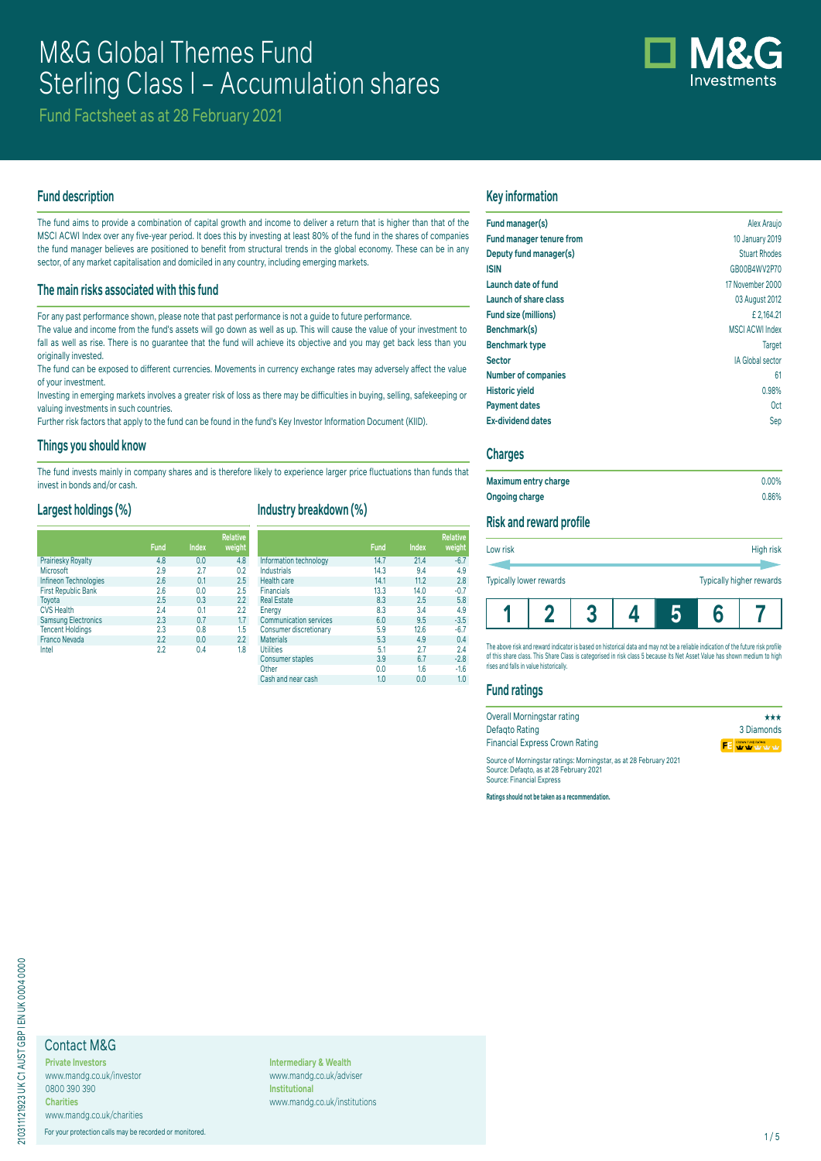

Fund Factsheet as at 28 February 2021

## **Fund description**

The fund aims to provide a combination of capital growth and income to deliver a return that is higher than that of the MSCI ACWI Index over any five-year period. It does this by investing at least 80% of the fund in the shares of companies the fund manager believes are positioned to benefit from structural trends in the global economy. These can be in any sector, of any market capitalisation and domiciled in any country, including emerging markets.

## **The main risks associated with this fund**

For any past performance shown, please note that past performance is not a guide to future performance.

The value and income from the fund's assets will go down as well as up. This will cause the value of your investment to fall as well as rise. There is no guarantee that the fund will achieve its objective and you may get back less than you originally invested.

The fund can be exposed to different currencies. Movements in currency exchange rates may adversely affect the value of your investment.

Investing in emerging markets involves a greater risk of loss as there may be difficulties in buying, selling, safekeeping or valuing investments in such countries.

Further risk factors that apply to the fund can be found in the fund's Key Investor Information Document (KIID).

#### **Things you should know**

The fund invests mainly in company shares and is therefore likely to experience larger price fluctuations than funds that invest in bonds and/or cash.

#### **Largest holdings (%)**

|                            | <b>Fund</b> | <b>Index</b> | <b>Relative</b><br>weight |
|----------------------------|-------------|--------------|---------------------------|
| Prairiesky Royalty         | 4.8         | 0.0          | 4.8                       |
| Microsoft                  | 2.9         | 2.7          | 0.2                       |
| Infineon Technologies      | 2.6         | 0.1          | 2.5                       |
| <b>First Republic Bank</b> | 2.6         | 0.0          | 2.5                       |
| Toyota                     | 2.5         | 0.3          | 2.2                       |
| <b>CVS Health</b>          | 2.4         | 0.1          | 2.2                       |
| <b>Samsung Electronics</b> | 2.3         | 0.7          | 1.7                       |
| <b>Tencent Holdings</b>    | 2.3         | 0.8          | 1.5                       |
| <b>Franco Nevada</b>       | 2.2         | 0.0          | 2.2                       |
| Intel                      | 2.2         | 0.4          | 1.8                       |

## **Industry breakdown (%)**

|                               | <b>Fund</b> | Index | <b>Relative</b><br>weight |
|-------------------------------|-------------|-------|---------------------------|
| Information technology        | 14.7        | 21.4  | $-6.7$                    |
| <b>Industrials</b>            | 14.3        | 9.4   | 4.9                       |
| Health care                   | 14.1        | 11.2  | 2.8                       |
| <b>Financials</b>             | 13.3        | 14.0  | $-0.7$                    |
| <b>Real Estate</b>            | 8.3         | 2.5   | 5.8                       |
| Energy                        | 8.3         | 3.4   | 4.9                       |
| <b>Communication services</b> | 6.0         | 9.5   | $-3.5$                    |
| Consumer discretionary        | 5.9         | 12.6  | $-6.7$                    |
| <b>Materials</b>              | 5.3         | 4.9   | 0.4                       |
| <b>Utilities</b>              | 5.1         | 2.7   | 2.4                       |
| <b>Consumer staples</b>       | 3.9         | 6.7   | $-2.8$                    |
| Other                         | 0.0         | 1.6   | $-1.6$                    |
| Cash and near cash            | 1.0         | 0.0   | 1.0                       |

## **Key information**

| Fund manager(s)            | Alex Araujo             |
|----------------------------|-------------------------|
| Fund manager tenure from   | 10 January 2019         |
| Deputy fund manager(s)     | <b>Stuart Rhodes</b>    |
| <b>ISIN</b>                | GB00B4WV2P70            |
| Launch date of fund        | 17 November 2000        |
| Launch of share class      | 03 August 2012          |
| Fund size (millions)       | £2.164.21               |
| Benchmark(s)               | <b>MSCI ACWI Index</b>  |
| <b>Benchmark type</b>      | <b>Target</b>           |
| <b>Sector</b>              | <b>IA Global sector</b> |
| <b>Number of companies</b> | 61                      |
| <b>Historic yield</b>      | 0.98%                   |
| <b>Payment dates</b>       | 0ct                     |
| <b>Ex-dividend dates</b>   | Sep                     |

## **Charges**

| Maximum entry charge | $0.00\%$ |
|----------------------|----------|
| Ongoing charge       | 0.86%    |

## **Risk and reward profile**

| Low risk                |  |  | High risk                |
|-------------------------|--|--|--------------------------|
| Typically lower rewards |  |  | Typically higher rewards |
|                         |  |  |                          |

The above risk and reward indicator is based on historical data and may not be a reliable indication of the future risk profile of this share class. This Share Class is categorised in risk class 5 because its Net Asset Value has shown medium to high rises and falls in value historically.

#### **Fund ratings**

| Overall Morningstar rating                                                                                   | ***               |
|--------------------------------------------------------------------------------------------------------------|-------------------|
| Defagto Rating                                                                                               | 3 Diamonds        |
| <b>Financial Express Crown Rating</b>                                                                        | FE WWW.FUNDRATING |
| Source of Morningstar ratings: Morningstar, as at 28 February 2021<br>Source: Defanto as at 28 February 2021 |                   |

Source: Defaqto, as at 28 February 2021 Source: Financial Express

**Ratings should not be taken as a recommendation.**

# Contact M&G

**Private Investors** www.mandg.co.uk/investor 0800 390 390 **Charities** www.mandg.co.uk/charities

For your protection calls may be recorded or monitored. 1/5

**Intermediary & Wealth** www.mandg.co.uk/adviser **Institutional** www.mandg.co.uk/institutions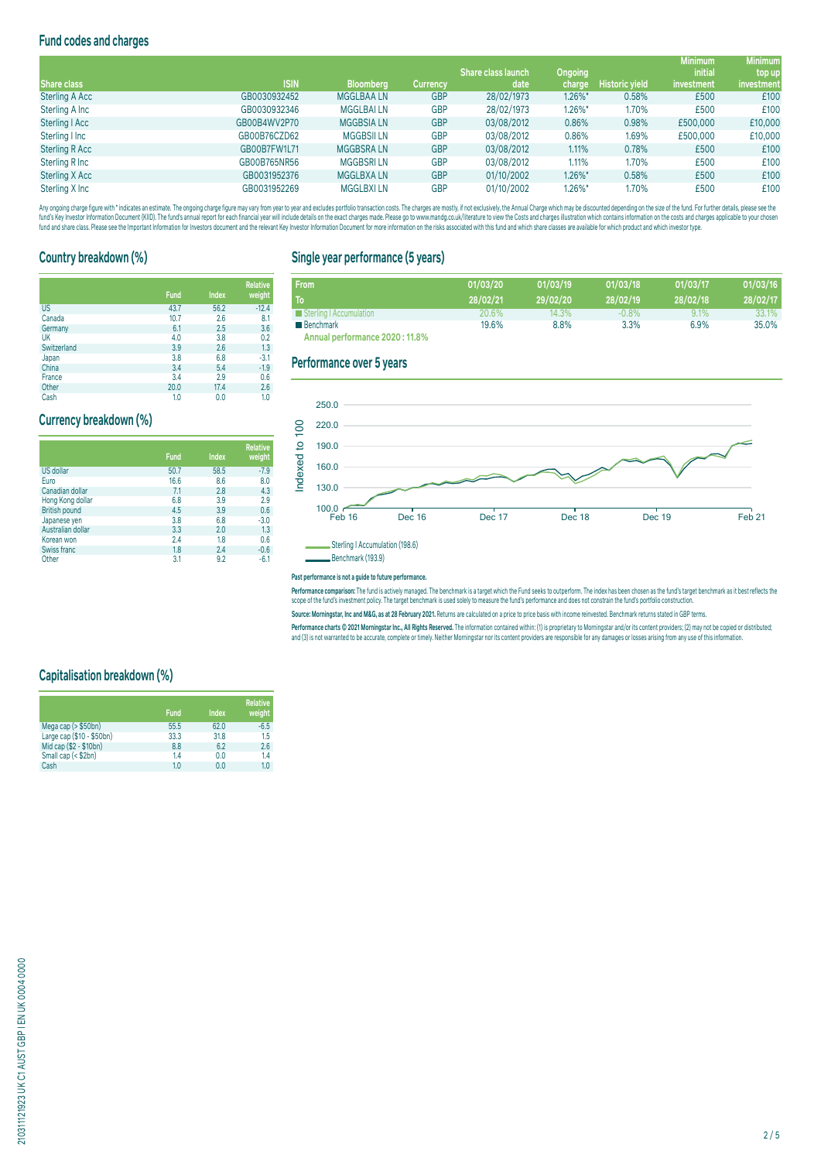# **Fund codes and charges**

|                       |              |                  |                 |                           |            |                       | <b>Minimum</b> | <b>Minimum</b> |
|-----------------------|--------------|------------------|-----------------|---------------------------|------------|-----------------------|----------------|----------------|
|                       |              |                  |                 | <b>Share class launch</b> | Ongoing    |                       | <i>initial</i> | top up         |
| Share class           | <b>ISIN</b>  | <b>Bloomberg</b> | <b>Currency</b> | date                      | charge     | <b>Historic yield</b> | investment     | investment     |
| <b>Sterling A Acc</b> | GB0030932452 | <b>MGGLBAALN</b> | <b>GBP</b>      | 28/02/1973                | $1.26\%$ * | 0.58%                 | £500           | £100           |
| Sterling A Inc        | GB0030932346 | <b>MGGLBAILN</b> | <b>GBP</b>      | 28/02/1973                | 1.26%*     | 1.70%                 | £500           | £100           |
| Sterling   Acc        | GB00B4WV2P70 | <b>MGGBSIALN</b> | <b>GBP</b>      | 03/08/2012                | 0.86%      | 0.98%                 | £500,000       | £10,000        |
| Sterling I Inc        | GB00B76CZD62 | <b>MGGBSIILN</b> | <b>GBP</b>      | 03/08/2012                | 0.86%      | 1.69%                 | £500,000       | £10,000        |
| <b>Sterling R Acc</b> | GB00B7FW1L71 | <b>MGGBSRALN</b> | <b>GBP</b>      | 03/08/2012                | 1.11%      | 0.78%                 | £500           | £100           |
| Sterling R Inc        | GB00B765NR56 | <b>MGGBSRILN</b> | <b>GBP</b>      | 03/08/2012                | 1.11%      | 1.70%                 | £500           | £100           |
| Sterling X Acc        | GB0031952376 | <b>MGGLBXALN</b> | <b>GBP</b>      | 01/10/2002                | 1.26%*     | 0.58%                 | £500           | £100           |
| Sterling X Inc        | GB0031952269 | <b>MGGLBXILN</b> | <b>GBP</b>      | 01/10/2002                | 1.26%*     | 1.70%                 | £500           | £100           |

Any organism and the man and the manual manual manual manual manual manual manual manual manual manual manual manual manual manual manual manual manual manual manual manual manual manual manual manual manual manual manual fund and share class. Please see the important information for Investors document and the relevant Key Investor Information Document for more information on the risks associated with this fund and which share classes are a

# **Country breakdown (%)**

|             | <b>Fund</b> | <b>Index</b> | <b>Relative</b><br>weight |
|-------------|-------------|--------------|---------------------------|
| <b>US</b>   | 43.7        | 56.2         | $-12.4$                   |
| Canada      | 10.7        | 2.6          | 8.1                       |
| Germany     | 6.1         | 2.5          | 3.6                       |
| UK          | 4.0         | 3.8          | 0.2                       |
| Switzerland | 3.9         | 2.6          | 1.3                       |
| Japan       | 3.8         | 6.8          | $-3.1$                    |
| China       | 3.4         | 5.4          | $-1.9$                    |
| France      | 3.4         | 2.9          | 0.6                       |
| Other       | 20.0        | 17.4         | 2.6                       |

Cash 1.0 0.0 1.0

## **Currency breakdown (%)**

|                      | <b>Fund</b> | <b>Index</b> | <b>Relative</b><br>weight |
|----------------------|-------------|--------------|---------------------------|
| <b>US dollar</b>     | 50.7        | 58.5         | $-7.9$                    |
| Euro                 | 16.6        | 8.6          | 8.0                       |
| Canadian dollar      | 7.1         | 2.8          | 4.3                       |
| Hong Kong dollar     | 6.8         | 3.9          | 2.9                       |
| <b>British pound</b> | 4.5         | 3.9          | 0.6                       |
| Japanese yen         | 3.8         | 6.8          | $-3.0$                    |
| Australian dollar    | 3.3         | 2.0          | 1.3                       |
| Korean won           | 2.4         | 1.8          | 0.6                       |
| Swiss franc          | 1.8         | 2.4          | $-0.6$                    |
| Other                | 3.1         | 9.2          | $-6.1$                    |

# **Single year performance (5 years)**

| <b>From</b>                     | 01/03/20 | 01/03/19 | 01/03/18 | 01/03/17 | 01/03/16 |
|---------------------------------|----------|----------|----------|----------|----------|
| To                              | 28/02/21 | 29/02/20 | 28/02/19 | 28/02/18 | 28/02/17 |
| Sterling   Accumulation         | 20.6%    | 14.3%    | $-0.8\%$ | 9.1%     | 33.1%    |
| ■ Benchmark                     | 19.6%    | 8.8%     | 3.3%     | 6.9%     | 35.0%    |
| Annual nerformance 2020 · 11 8% |          |          |          |          |          |

**Annual performance 2020 : 11.8%**

### **Performance over 5 years**



#### **Past performance is not a guide to future performance.**

rerrormance comparison: The fund is actively managed. The denomiark is a target which the hundsees to outperform. The index has been chosen as the fund's target denomiark as it dest feriects the<br>scope of the fund's investm

Source: Morningstar, Inc and M&G, as at 28 February 2021. Returns are calculated on a price to price basis with income reinvested. Benchmark returns stated in GBP terms

Performance charts © 2021 Morningstar Inc., All Rights Reserved. The information contained within: (1) is proprietary to Morningstar and/or its content providers; (2) may not be copied or distributed; and (3) is not warranted to be accurate, complete or timely. Neither Morningstar nor its content providers are responsible for any damages or losses arising from any use of this information.

# **Capitalisation breakdown (%)**

|                           | Fund | Index | <b>Relative</b><br>weight |
|---------------------------|------|-------|---------------------------|
| Mega cap $($ > \$50bn)    | 55.5 | 62.0  | $-6.5$                    |
| Large cap (\$10 - \$50bn) | 33.3 | 31.8  | 1.5                       |
| Mid cap (\$2 - \$10bn)    | 8.8  | 6.2   | 2.6                       |
| Small cap (< \$2bn)       | 1.4  | 0.0   | 1.4                       |
| Cash                      | 1.0  | 0.0   | 1.0                       |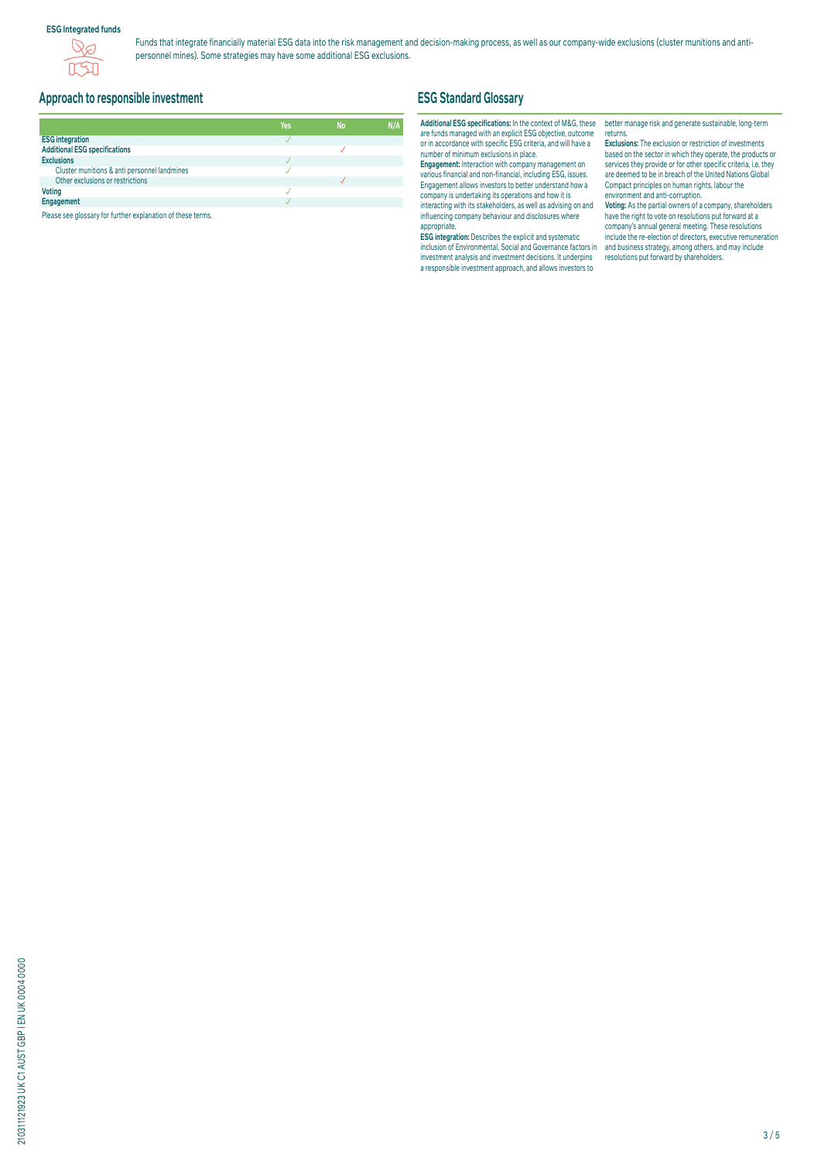## **ESG Integrated funds**



Funds that integrate financially material ESG data into the risk management and decision-making process, as well as our company-wide exclusions (cluster munitions and antipersonnel mines). Some strategies may have some additional ESG exclusions.

# **Approach to responsible investment**

|                                              | Yes | <b>No</b> | N/A |
|----------------------------------------------|-----|-----------|-----|
| <b>ESG integration</b>                       |     |           |     |
| <b>Additional ESG specifications</b>         |     |           |     |
| <b>Exclusions</b>                            |     |           |     |
| Cluster munitions & anti personnel landmines |     |           |     |
| Other exclusions or restrictions             |     |           |     |
| <b>Voting</b>                                |     |           |     |
| Engagement                                   |     |           |     |

Please see glossary for further explanation of these terms.

# **ESG Standard Glossary**

## **Additional ESG specifications:** In the context of M&G, these are funds managed with an explicit ESG objective, outcome or in accordance with specific ESG criteria, and will have a number of minimum exclusions in place.

**Engagement:** Interaction with company management on various financial and non-financial, including ESG, issues. Engagement allows investors to better understand how a company is undertaking its operations and how it is interacting with its stakeholders, as well as advising on and influencing company behaviour and disclosures where appropriate.

**ESG integration:** Describes the explicit and systematic inclusion of Environmental, Social and Governance factors in investment analysis and investment decisions. It underpins a responsible investment approach, and allows investors to

better manage risk and generate sustainable, long-term returns.

**Exclusions:** The exclusion or restriction of investments based on the sector in which they operate, the products or services they provide or for other specific criteria, i.e. they are deemed to be in breach of the United Nations Global Compact principles on human rights, labour the environment and anti-corruption.

**Voting:** As the partial owners of a company, shareholders have the right to vote on resolutions put forward at a company's annual general meeting. These resolutions include the re-election of directors, executive remuneration and business strategy, among others, and may include resolutions put forward by shareholders.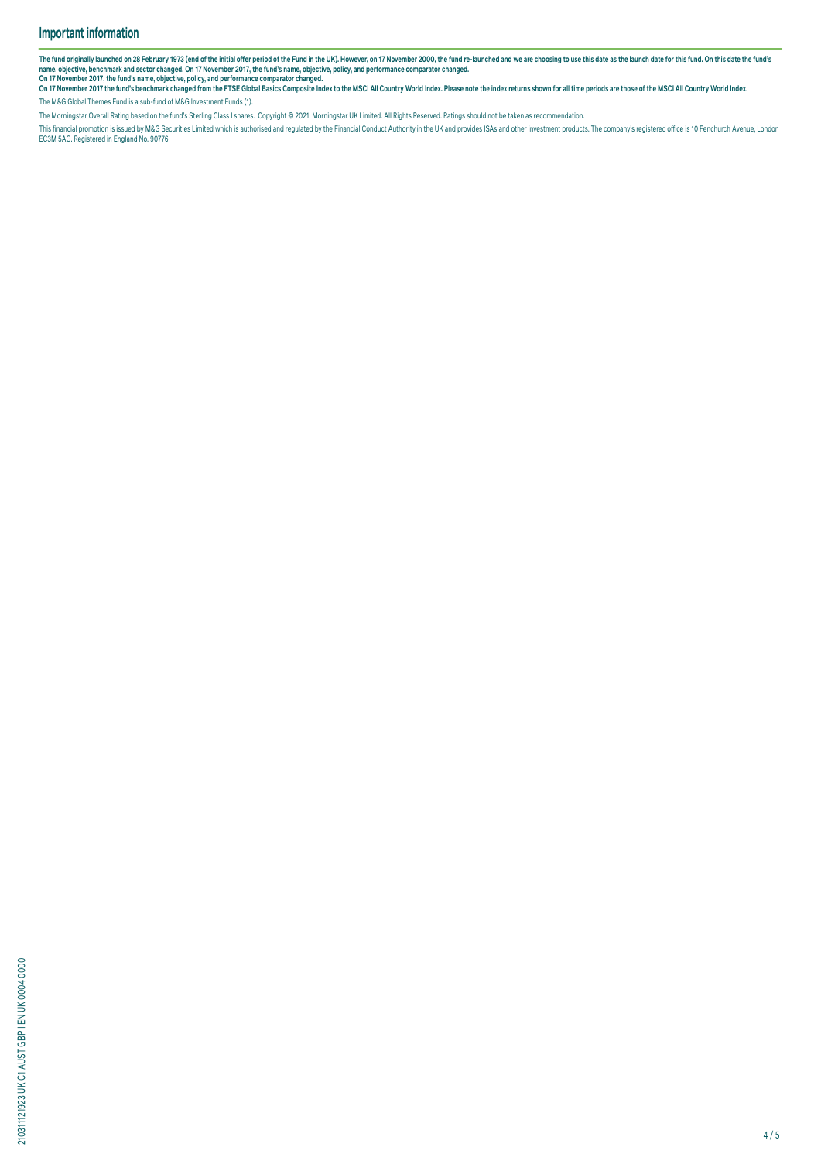The fund originally launched on 28 February 1973 (end of the initial offer period of the Fund in the UK). However, on 17 November 2000, the fund re-launched and we are choosing to use this date as the launch date for this

name, objective, benchmark and sector changed. On 17 November 2017, the fund's name, objective, policy, and performance comparator changed.<br>On 17 November 2017, the fund's banchmark changed from the FTSE Global Basics Comp The M&G Global Themes Fund is a sub-fund of M&G Investment Funds (1).

The Morningstar Overall Rating based on the fund's Sterling Class I shares. Copyright © 2021 Morningstar UK Limited. All Rights Reserved. Ratings should not be taken as recommendation.

This financial promotion is issued by M&G Securities Limited which is authorised and regulated by the Financial Conduct Authority in the UK and provides ISAs and other investment products. The company's registered office i EC3M 5AG. Registered in England No. 90776.

210311121923 UK C1 AUST GBP I EN UK 0004 0000 210311121923 UK C1 AUST GBP I EN UK 0004 0000